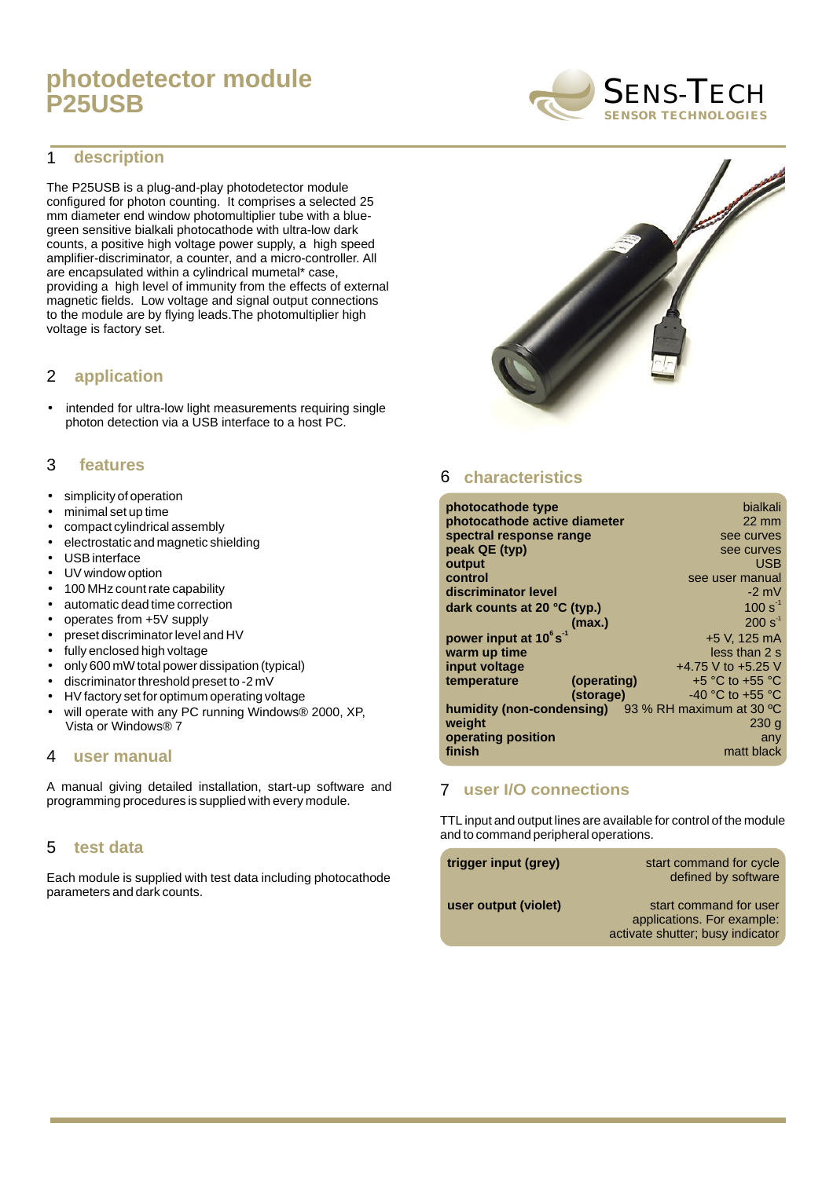## **photodetector module P25USB**

#### **description** 1

The P25USB is a plug-and-play photodetector module configured for photon counting. It comprises a selected 25 mm diameter end window photomultiplier tube with a bluegreen sensitive bialkali photocathode with ultra-low dark counts, a positive high voltage power supply, a high speed amplifier-discriminator, a counter, and a micro-controller. All are encapsulated within a cylindrical mumetal\* case, providing a high level of immunity from the effects of external magnetic fields. Low voltage and signal output connections to the module are by flying leads.The photomultiplier high voltage is factory set.

#### **application** 2

• intended for ultra-low light measurements requiring single photon detection via a USB interface to a host PC.

#### **features** 3

- simplicity of operation
- minimal set up time
- compact cylindrical assembly
- electrostatic and magnetic shielding
- USB interface
- UV window option
- 100 MHz count rate capability
- automatic dead time correction
- operates from +5V supply
- preset discriminator level and HV
- fully enclosed high voltage
- only 600 mW total power dissipation (typical)
- discriminator threshold preset to -2 mV
- HV factory set for optimum operating voltage
- will operate with any PC running Windows® 2000, XP, Vista or Windows® 7

#### **user manual** 4

A manual giving detailed installation, start-up software and programming procedures is supplied with every module.

#### **test data** 5

Each module is supplied with test data including photocathode parameters and dark counts.

# 6 **characteristics**

| photocathode type                                                    | bialkali            |
|----------------------------------------------------------------------|---------------------|
| photocathode active diameter                                         | $22 \text{ mm}$     |
| spectral response range                                              | see curves          |
| peak QE (typ)                                                        | see curves          |
| output                                                               | USB                 |
| control                                                              | see user manual     |
| discriminator level                                                  | $-2$ mV             |
| dark counts at 20 $\degree$ C (typ.)                                 | $100 s^{-1}$        |
| (max.)                                                               | $200 s-1$           |
| power input at 10°s <sup>-1</sup>                                    | +5 V, 125 mA        |
| warm up time                                                         | less than 2 s       |
| input voltage                                                        | +4.75 V to +5.25 V  |
| temperature<br>(operating)                                           | $+5$ °C to $+55$ °C |
| (storage)                                                            | -40 °C to +55 °C    |
| <b>humidity (non-condensing)</b> $93%$ RH maximum at 30 $^{\circ}$ C |                     |
| weight                                                               | 230q                |
| operating position                                                   | any                 |
| finish                                                               | matt black          |

#### **user I/O connections** 7

TTL input and output lines are available for control of the module and to command peripheral operations.

| trigger input (grey) | start command for cycle<br>defined by software                                           |
|----------------------|------------------------------------------------------------------------------------------|
| user output (violet) | start command for user<br>applications. For example:<br>activate shutter; busy indicator |